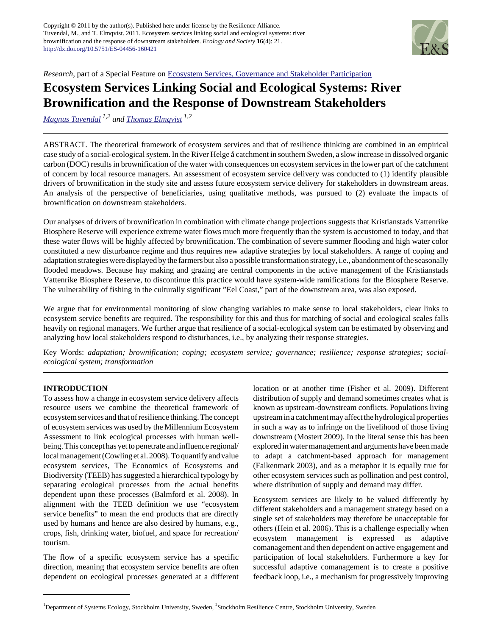

*Research*, part of a Special Feature on [Ecosystem Services, Governance and Stakeholder Participation](http://www.ecologyandsociety.org/viewissue.php?sf=63)

# **Ecosystem Services Linking Social and Ecological Systems: River Brownification and the Response of Downstream Stakeholders**

*[Magnus Tuvendal](mailto:magnus.tuvendal@ecology.su.se) 1,2 and [Thomas Elmqvist](mailto:thomase@ecology.su.se) 1,2*

ABSTRACT. The theoretical framework of ecosystem services and that of resilience thinking are combined in an empirical case study of a social-ecological system. In the River Helge å catchment in southern Sweden, a slow increase in dissolved organic carbon (DOC) results in brownification of the water with consequences on ecosystem services in the lower part of the catchment of concern by local resource managers. An assessment of ecosystem service delivery was conducted to (1) identify plausible drivers of brownification in the study site and assess future ecosystem service delivery for stakeholders in downstream areas. An analysis of the perspective of beneficiaries, using qualitative methods, was pursued to (2) evaluate the impacts of brownification on downstream stakeholders.

Our analyses of drivers of brownification in combination with climate change projections suggests that Kristianstads Vattenrike Biosphere Reserve will experience extreme water flows much more frequently than the system is accustomed to today, and that these water flows will be highly affected by brownification. The combination of severe summer flooding and high water color constituted a new disturbance regime and thus requires new adaptive strategies by local stakeholders. A range of coping and adaptation strategies were displayed by the farmers but also a possible transformation strategy, i.e., abandonment of the seasonally flooded meadows. Because hay making and grazing are central components in the active management of the Kristianstads Vattenrike Biosphere Reserve, to discontinue this practice would have system-wide ramifications for the Biosphere Reserve. The vulnerability of fishing in the culturally significant "Eel Coast," part of the downstream area, was also exposed.

We argue that for environmental monitoring of slow changing variables to make sense to local stakeholders, clear links to ecosystem service benefits are required. The responsibility for this and thus for matching of social and ecological scales falls heavily on regional managers. We further argue that resilience of a social-ecological system can be estimated by observing and analyzing how local stakeholders respond to disturbances, i.e., by analyzing their response strategies.

Key Words: *adaptation; brownification; coping; ecosystem service; governance; resilience; response strategies; socialecological system; transformation*

# **INTRODUCTION**

To assess how a change in ecosystem service delivery affects resource users we combine the theoretical framework of ecosystem services and that of resilience thinking. The concept of ecosystem services was used by the Millennium Ecosystem Assessment to link ecological processes with human wellbeing. This concept has yet to penetrate and influence regional/ local management (Cowling et al. 2008). To quantify and value ecosystem services, The Economics of Ecosystems and Biodiversity (TEEB) has suggested a hierarchical typology by separating ecological processes from the actual benefits dependent upon these processes (Balmford et al. 2008). In alignment with the TEEB definition we use "ecosystem service benefits" to mean the end products that are directly used by humans and hence are also desired by humans, e.g., crops, fish, drinking water, biofuel, and space for recreation/ tourism.

The flow of a specific ecosystem service has a specific direction, meaning that ecosystem service benefits are often dependent on ecological processes generated at a different location or at another time (Fisher et al. 2009). Different distribution of supply and demand sometimes creates what is known as upstream-downstream conflicts. Populations living upstream in a catchment may affect the hydrological properties in such a way as to infringe on the livelihood of those living downstream (Mostert 2009). In the literal sense this has been explored in water management and arguments have been made to adapt a catchment-based approach for management (Falkenmark 2003), and as a metaphor it is equally true for other ecosystem services such as pollination and pest control, where distribution of supply and demand may differ.

Ecosystem services are likely to be valued differently by different stakeholders and a management strategy based on a single set of stakeholders may therefore be unacceptable for others (Hein et al. 2006). This is a challenge especially when ecosystem management is expressed as adaptive comanagement and then dependent on active engagement and participation of local stakeholders. Furthermore a key for successful adaptive comanagement is to create a positive feedback loop, i.e., a mechanism for progressively improving

<sup>&</sup>lt;sup>1</sup>Department of Systems Ecology, Stockholm University, Sweden, <sup>2</sup>Stockholm Resilience Centre, Stockholm University, Sweden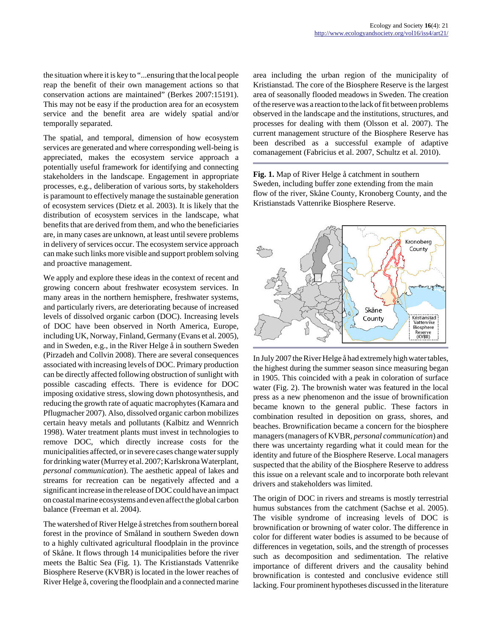the situation where it is key to "...ensuring that the local people reap the benefit of their own management actions so that conservation actions are maintained" (Berkes 2007:15191). This may not be easy if the production area for an ecosystem service and the benefit area are widely spatial and/or temporally separated.

The spatial, and temporal, dimension of how ecosystem services are generated and where corresponding well-being is appreciated, makes the ecosystem service approach a potentially useful framework for identifying and connecting stakeholders in the landscape. Engagement in appropriate processes, e.g., deliberation of various sorts, by stakeholders is paramount to effectively manage the sustainable generation of ecosystem services (Dietz et al. 2003). It is likely that the distribution of ecosystem services in the landscape, what benefits that are derived from them, and who the beneficiaries are, in many cases are unknown, at least until severe problems in delivery of services occur. The ecosystem service approach can make such links more visible and support problem solving and proactive management.

We apply and explore these ideas in the context of recent and growing concern about freshwater ecosystem services. In many areas in the northern hemisphere, freshwater systems, and particularly rivers, are deteriorating because of increased levels of dissolved organic carbon (DOC). Increasing levels of DOC have been observed in North America, Europe, including UK, Norway, Finland, Germany (Evans et al. 2005), and in Sweden, e.g., in the River Helge å in southern Sweden (Pirzadeh and Collvin 2008). There are several consequences associated with increasing levels of DOC. Primary production can be directly affected following obstruction of sunlight with possible cascading effects. There is evidence for DOC imposing oxidative stress, slowing down photosynthesis, and reducing the growth rate of aquatic macrophytes (Kamara and Pflugmacher 2007). Also, dissolved organic carbon mobilizes certain heavy metals and pollutants (Kalbitz and Wennrich 1998). Water treatment plants must invest in technologies to remove DOC, which directly increase costs for the municipalities affected, or in severe cases change water supply for drinking water (Murrey et al. 2007; Karlskrona Waterplant, *personal communication*). The aesthetic appeal of lakes and streams for recreation can be negatively affected and a significant increase in the release of DOC could have an impact on coastal marine ecosystems and even affect the global carbon balance (Freeman et al. 2004).

The watershed of River Helge å stretches from southern boreal forest in the province of Småland in southern Sweden down to a highly cultivated agricultural floodplain in the province of Skåne. It flows through 14 municipalities before the river meets the Baltic Sea (Fig. 1). The Kristianstads Vattenrike Biosphere Reserve (KVBR) is located in the lower reaches of River Helge å, covering the floodplain and a connected marine area including the urban region of the municipality of Kristianstad. The core of the Biosphere Reserve is the largest area of seasonally flooded meadows in Sweden. The creation of the reserve was a reaction to the lack of fit between problems observed in the landscape and the institutions, structures, and processes for dealing with them (Olsson et al. 2007). The current management structure of the Biosphere Reserve has been described as a successful example of adaptive comanagement (Fabricius et al. 2007, Schultz et al. 2010).

**Fig. 1.** Map of River Helge å catchment in southern Sweden, including buffer zone extending from the main flow of the river, Skåne County, Kronoberg County, and the Kristianstads Vattenrike Biosphere Reserve.



In July 2007 the River Helge å had extremely high water tables, the highest during the summer season since measuring began in 1905. This coincided with a peak in coloration of surface water (Fig. 2). The brownish water was featured in the local press as a new phenomenon and the issue of brownification became known to the general public. These factors in combination resulted in deposition on grass, shores, and beaches. Brownification became a concern for the biosphere managers (managers of KVBR, *personal communication*) and there was uncertainty regarding what it could mean for the identity and future of the Biosphere Reserve. Local managers suspected that the ability of the Biosphere Reserve to address this issue on a relevant scale and to incorporate both relevant drivers and stakeholders was limited.

The origin of DOC in rivers and streams is mostly terrestrial humus substances from the catchment (Sachse et al. 2005). The visible syndrome of increasing levels of DOC is brownification or browning of water color. The difference in color for different water bodies is assumed to be because of differences in vegetation, soils, and the strength of processes such as decomposition and sedimentation. The relative importance of different drivers and the causality behind brownification is contested and conclusive evidence still lacking. Four prominent hypotheses discussed in the literature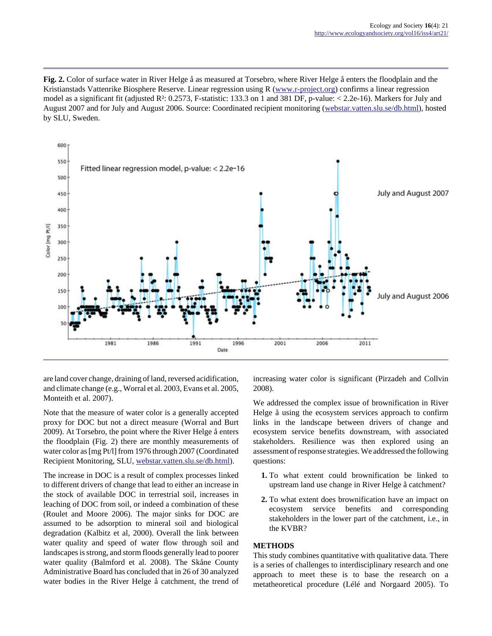**Fig. 2.** Color of surface water in River Helge å as measured at Torsebro, where River Helge å enters the floodplain and the Kristianstads Vattenrike Biosphere Reserve. Linear regression using R ([www.r-project.org\)](http://www.r-project.org/) confirms a linear regression model as a significant fit (adjusted R²: 0.2573, F-statistic: 133.3 on 1 and 381 DF, p-value: < 2.2e-16). Markers for July and August 2007 and for July and August 2006. Source: Coordinated recipient monitoring [\(webstar.vatten.slu.se/db.html\)](http://webstar.vatten.slu.se/db.html), hosted by SLU, Sweden.



are land cover change, draining of land, reversed acidification, and climate change (e.g., Worral et al. 2003, Evans et al. 2005, Monteith et al. 2007).

Note that the measure of water color is a generally accepted proxy for DOC but not a direct measure (Worral and Burt 2009). At Torsebro, the point where the River Helge å enters the floodplain (Fig. 2) there are monthly measurements of water color as [mg Pt/l] from 1976 through 2007 (Coordinated Recipient Monitoring, SLU, [webstar.vatten.slu.se/db.html\)](http://webstar.vatten.slu.se/db.html).

The increase in DOC is a result of complex processes linked to different drivers of change that lead to either an increase in the stock of available DOC in terrestrial soil, increases in leaching of DOC from soil, or indeed a combination of these (Roulet and Moore 2006). The major sinks for DOC are assumed to be adsorption to mineral soil and biological degradation (Kalbitz et al, 2000). Overall the link between water quality and speed of water flow through soil and landscapes is strong, and storm floods generally lead to poorer water quality (Balmford et al. 2008). The Skåne County Administrative Board has concluded that in 26 of 30 analyzed water bodies in the River Helge å catchment, the trend of increasing water color is significant (Pirzadeh and Collvin 2008).

We addressed the complex issue of brownification in River Helge å using the ecosystem services approach to confirm links in the landscape between drivers of change and ecosystem service benefits downstream, with associated stakeholders. Resilience was then explored using an assessment of response strategies. We addressed the following questions:

- **1.** To what extent could brownification be linked to upstream land use change in River Helge å catchment?
- **2.** To what extent does brownification have an impact on ecosystem service benefits and corresponding stakeholders in the lower part of the catchment, i.e., in the KVBR?

## **METHODS**

This study combines quantitative with qualitative data. There is a series of challenges to interdisciplinary research and one approach to meet these is to base the research on a metatheoretical procedure (Lélé and Norgaard 2005). To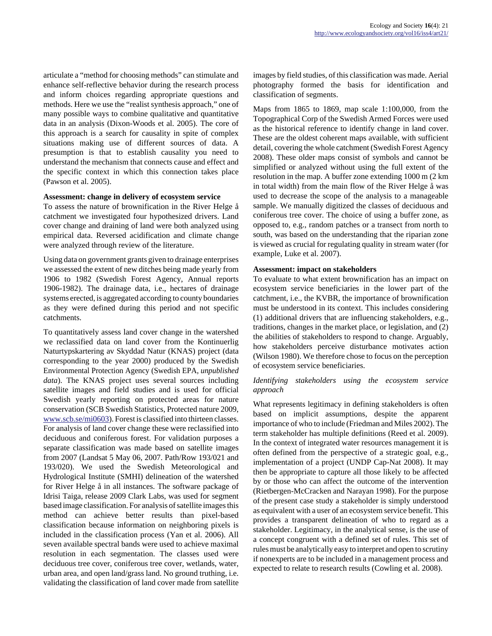articulate a "method for choosing methods" can stimulate and enhance self-reflective behavior during the research process and inform choices regarding appropriate questions and methods. Here we use the "realist synthesis approach," one of many possible ways to combine qualitative and quantitative data in an analysis (Dixon-Woods et al. 2005). The core of this approach is a search for causality in spite of complex situations making use of different sources of data. A presumption is that to establish causality you need to understand the mechanism that connects cause and effect and the specific context in which this connection takes place (Pawson et al. 2005).

## **Assessment: change in delivery of ecosystem service**

To assess the nature of brownification in the River Helge å catchment we investigated four hypothesized drivers. Land cover change and draining of land were both analyzed using empirical data. Reversed acidification and climate change were analyzed through review of the literature.

Using data on government grants given to drainage enterprises we assessed the extent of new ditches being made yearly from 1906 to 1982 (Swedish Forest Agency, Annual reports 1906-1982). The drainage data, i.e., hectares of drainage systems erected, is aggregated according to county boundaries as they were defined during this period and not specific catchments.

To quantitatively assess land cover change in the watershed we reclassified data on land cover from the Kontinuerlig Naturtypskartering av Skyddad Natur (KNAS) project (data corresponding to the year 2000) produced by the Swedish Environmental Protection Agency (Swedish EPA, *unpublished data*). The KNAS project uses several sources including satellite images and field studies and is used for official Swedish yearly reporting on protected areas for nature conservation (SCB Swedish Statistics, Protected nature 2009, [www.scb.se/mi0603\)](http://www.scb.se/mi0603). Forest is classified into thirteen classes. For analysis of land cover change these were reclassified into deciduous and coniferous forest. For validation purposes a separate classification was made based on satellite images from 2007 (Landsat 5 May 06, 2007. Path/Row 193/021 and 193/020). We used the Swedish Meteorological and Hydrological Institute (SMHI) delineation of the watershed for River Helge å in all instances. The software package of Idrisi Taiga, release 2009 Clark Labs, was used for segment based image classification. For analysis of satellite images this method can achieve better results than pixel-based classification because information on neighboring pixels is included in the classification process (Yan et al. 2006). All seven available spectral bands were used to achieve maximal resolution in each segmentation. The classes used were deciduous tree cover, coniferous tree cover, wetlands, water, urban area, and open land/grass land. No ground truthing, i.e. validating the classification of land cover made from satellite

images by field studies, of this classification was made. Aerial photography formed the basis for identification and classification of segments.

Maps from 1865 to 1869, map scale 1:100,000, from the Topographical Corp of the Swedish Armed Forces were used as the historical reference to identify change in land cover. These are the oldest coherent maps available, with sufficient detail, covering the whole catchment (Swedish Forest Agency 2008). These older maps consist of symbols and cannot be simplified or analyzed without using the full extent of the resolution in the map. A buffer zone extending 1000 m (2 km in total width) from the main flow of the River Helge å was used to decrease the scope of the analysis to a manageable sample. We manually digitized the classes of deciduous and coniferous tree cover. The choice of using a buffer zone, as opposed to, e.g., random patches or a transect from north to south, was based on the understanding that the riparian zone is viewed as crucial for regulating quality in stream water (for example, Luke et al. 2007).

## **Assessment: impact on stakeholders**

To evaluate to what extent brownification has an impact on ecosystem service beneficiaries in the lower part of the catchment, i.e., the KVBR, the importance of brownification must be understood in its context. This includes considering (1) additional drivers that are influencing stakeholders, e.g., traditions, changes in the market place, or legislation, and (2) the abilities of stakeholders to respond to change. Arguably, how stakeholders perceive disturbance motivates action (Wilson 1980). We therefore chose to focus on the perception of ecosystem service beneficiaries.

# *Identifying stakeholders using the ecosystem service approach*

What represents legitimacy in defining stakeholders is often based on implicit assumptions, despite the apparent importance of who to include (Friedman and Miles 2002). The term stakeholder has multiple definitions (Reed et al. 2009). In the context of integrated water resources management it is often defined from the perspective of a strategic goal, e.g., implementation of a project (UNDP Cap-Nat 2008). It may then be appropriate to capture all those likely to be affected by or those who can affect the outcome of the intervention (Rietbergen-McCracken and Narayan 1998). For the purpose of the present case study a stakeholder is simply understood as equivalent with a user of an ecosystem service benefit. This provides a transparent delineation of who to regard as a stakeholder. Legitimacy, in the analytical sense, is the use of a concept congruent with a defined set of rules. This set of rules must be analytically easy to interpret and open to scrutiny if nonexperts are to be included in a management process and expected to relate to research results (Cowling et al. 2008).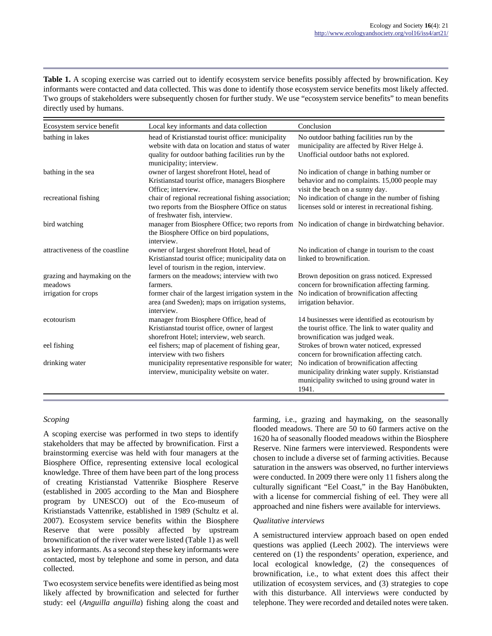**Table 1.** A scoping exercise was carried out to identify ecosystem service benefits possibly affected by brownification. Key informants were contacted and data collected. This was done to identify those ecosystem service benefits most likely affected. Two groups of stakeholders were subsequently chosen for further study. We use "ecosystem service benefits" to mean benefits directly used by humans.

| Ecosystem service benefit                                       | Local key informants and data collection                                                                                                                                                | Conclusion                                                                                                                                                         |
|-----------------------------------------------------------------|-----------------------------------------------------------------------------------------------------------------------------------------------------------------------------------------|--------------------------------------------------------------------------------------------------------------------------------------------------------------------|
| bathing in lakes                                                | head of Kristianstad tourist office: municipality<br>website with data on location and status of water<br>quality for outdoor bathing facilities run by the<br>municipality; interview. | No outdoor bathing facilities run by the<br>municipality are affected by River Helge å.<br>Unofficial outdoor baths not explored.                                  |
| bathing in the sea                                              | owner of largest shorefront Hotel, head of<br>Kristianstad tourist office, managers Biosphere<br>Office; interview.                                                                     | No indication of change in bathing number or<br>behavior and no complaints. 15,000 people may<br>visit the beach on a sunny day.                                   |
| recreational fishing                                            | chair of regional recreational fishing association;<br>two reports from the Biosphere Office on status<br>of freshwater fish, interview.                                                | No indication of change in the number of fishing<br>licenses sold or interest in recreational fishing.                                                             |
| bird watching                                                   | the Biosphere Office on bird populations,<br>interview.                                                                                                                                 | manager from Biosphere Office; two reports from No indication of change in birdwatching behavior.                                                                  |
| attractiveness of the coastline                                 | owner of largest shorefront Hotel, head of<br>Kristianstad tourist office; municipality data on<br>level of tourism in the region, interview.                                           | No indication of change in tourism to the coast<br>linked to brownification.                                                                                       |
| grazing and haymaking on the<br>meadows<br>irrigation for crops | farmers on the meadows; interview with two<br>farmers.<br>former chair of the largest irrigation system in the<br>area (and Sweden); maps on irrigation systems,                        | Brown deposition on grass noticed. Expressed<br>concern for brownification affecting farming.<br>No indication of brownification affecting<br>irrigation behavior. |
| ecotourism                                                      | interview.<br>manager from Biosphere Office, head of<br>Kristianstad tourist office, owner of largest<br>shorefront Hotel; interview, web search.                                       | 14 businesses were identified as ecotourism by<br>the tourist office. The link to water quality and<br>brownification was judged weak.                             |
| eel fishing                                                     | eel fishers; map of placement of fishing gear,<br>interview with two fishers                                                                                                            | Strokes of brown water noticed, expressed<br>concern for brownification affecting catch.                                                                           |
| drinking water                                                  | municipality representative responsible for water;<br>interview, municipality website on water.                                                                                         | No indication of brownification affecting<br>municipality drinking water supply. Kristianstad<br>municipality switched to using ground water in<br>1941.           |

## *Scoping*

A scoping exercise was performed in two steps to identify stakeholders that may be affected by brownification. First a brainstorming exercise was held with four managers at the Biosphere Office, representing extensive local ecological knowledge. Three of them have been part of the long process of creating Kristianstad Vattenrike Biosphere Reserve (established in 2005 according to the Man and Biosphere program by UNESCO) out of the Eco-museum of Kristianstads Vattenrike, established in 1989 (Schultz et al. 2007). Ecosystem service benefits within the Biosphere Reserve that were possibly affected by upstream brownification of the river water were listed (Table 1) as well as key informants. As a second step these key informants were contacted, most by telephone and some in person, and data collected.

Two ecosystem service benefits were identified as being most likely affected by brownification and selected for further study: eel (*Anguilla anguilla*) fishing along the coast and farming, i.e., grazing and haymaking, on the seasonally flooded meadows. There are 50 to 60 farmers active on the 1620 ha of seasonally flooded meadows within the Biosphere Reserve. Nine farmers were interviewed. Respondents were chosen to include a diverse set of farming activities. Because saturation in the answers was observed, no further interviews were conducted. In 2009 there were only 11 fishers along the culturally significant "Eel Coast," in the Bay Hanöbukten, with a license for commercial fishing of eel. They were all approached and nine fishers were available for interviews.

# *Qualitative interviews*

A semistructured interview approach based on open ended questions was applied (Leech 2002). The interviews were centered on (1) the respondents' operation, experience, and local ecological knowledge, (2) the consequences of brownification, i.e., to what extent does this affect their utilization of ecosystem services, and (3) strategies to cope with this disturbance. All interviews were conducted by telephone. They were recorded and detailed notes were taken.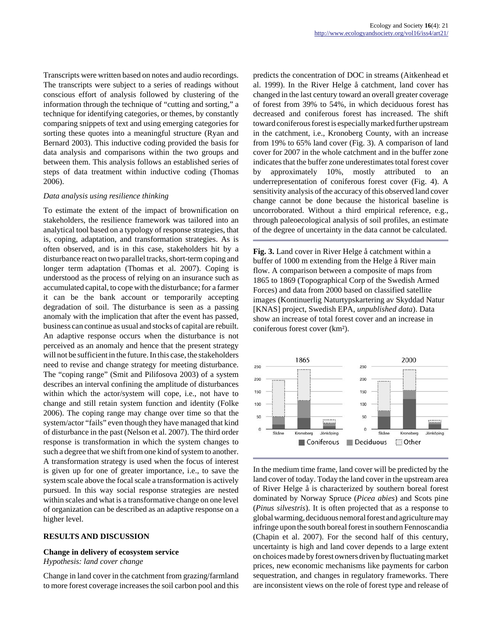Transcripts were written based on notes and audio recordings. The transcripts were subject to a series of readings without conscious effort of analysis followed by clustering of the information through the technique of "cutting and sorting," a technique for identifying categories, or themes, by constantly comparing snippets of text and using emerging categories for sorting these quotes into a meaningful structure (Ryan and Bernard 2003). This inductive coding provided the basis for data analysis and comparisons within the two groups and between them. This analysis follows an established series of steps of data treatment within inductive coding (Thomas 2006).

#### *Data analysis using resilience thinking*

To estimate the extent of the impact of brownification on stakeholders, the resilience framework was tailored into an analytical tool based on a typology of response strategies, that is, coping, adaptation, and transformation strategies. As is often observed, and is in this case, stakeholders hit by a disturbance react on two parallel tracks, short-term coping and longer term adaptation (Thomas et al. 2007). Coping is understood as the process of relying on an insurance such as accumulated capital, to cope with the disturbance; for a farmer it can be the bank account or temporarily accepting degradation of soil. The disturbance is seen as a passing anomaly with the implication that after the event has passed, business can continue as usual and stocks of capital are rebuilt. An adaptive response occurs when the disturbance is not perceived as an anomaly and hence that the present strategy will not be sufficient in the future. In this case, the stakeholders need to revise and change strategy for meeting disturbance. The "coping range" (Smit and Pilifosova 2003) of a system describes an interval confining the amplitude of disturbances within which the actor/system will cope, i.e., not have to change and still retain system function and identity (Folke 2006). The coping range may change over time so that the system/actor "fails" even though they have managed that kind of disturbance in the past (Nelson et al. 2007). The third order response is transformation in which the system changes to such a degree that we shift from one kind of system to another. A transformation strategy is used when the focus of interest is given up for one of greater importance, i.e., to save the system scale above the focal scale a transformation is actively pursued. In this way social response strategies are nested within scales and what is a transformative change on one level of organization can be described as an adaptive response on a higher level.

#### **RESULTS AND DISCUSSION**

#### **Change in delivery of ecosystem service**

*Hypothesis: land cover change*

Change in land cover in the catchment from grazing/farmland to more forest coverage increases the soil carbon pool and this predicts the concentration of DOC in streams (Aitkenhead et al. 1999). In the River Helge å catchment, land cover has changed in the last century toward an overall greater coverage of forest from 39% to 54%, in which deciduous forest has decreased and coniferous forest has increased. The shift toward coniferous forest is especially marked further upstream in the catchment, i.e., Kronoberg County, with an increase from 19% to 65% land cover (Fig. 3). A comparison of land cover for 2007 in the whole catchment and in the buffer zone indicates that the buffer zone underestimates total forest cover by approximately 10%, mostly attributed to an underrepresentation of coniferous forest cover (Fig. 4). A sensitivity analysis of the accuracy of this observed land cover change cannot be done because the historical baseline is uncorroborated. Without a third empirical reference, e.g., through paleoecological analysis of soil profiles, an estimate of the degree of uncertainty in the data cannot be calculated.

**Fig. 3.** Land cover in River Helge å catchment within a buffer of 1000 m extending from the Helge å River main flow. A comparison between a composite of maps from 1865 to 1869 (Topographical Corp of the Swedish Armed Forces) and data from 2000 based on classified satellite images (Kontinuerlig Naturtypskartering av Skyddad Natur [KNAS] project, Swedish EPA, *unpublished data*). Data show an increase of total forest cover and an increase in coniferous forest cover (km²).



In the medium time frame, land cover will be predicted by the land cover of today. Today the land cover in the upstream area of River Helge å is characterized by southern boreal forest dominated by Norway Spruce (*Picea abies*) and Scots pine (*Pinus silvestris*). It is often projected that as a response to global warming, deciduous nemoral forest and agriculture may infringe upon the south boreal forest in southern Fennoscandia (Chapin et al. 2007). For the second half of this century, uncertainty is high and land cover depends to a large extent on choices made by forest owners driven by fluctuating market prices, new economic mechanisms like payments for carbon sequestration, and changes in regulatory frameworks. There are inconsistent views on the role of forest type and release of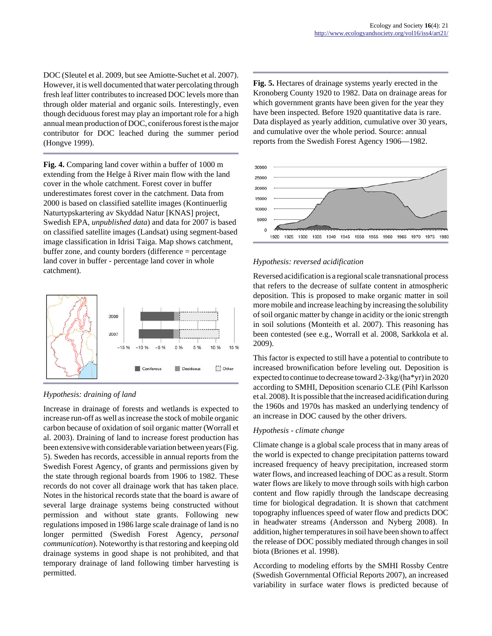DOC (Sleutel et al. 2009, but see Amiotte-Suchet et al. 2007). However, it is well documented that water percolating through fresh leaf litter contributes to increased DOC levels more than through older material and organic soils. Interestingly, even though deciduous forest may play an important role for a high annual mean production of DOC, coniferous forest is the major contributor for DOC leached during the summer period (Hongve 1999).

**Fig. 4.** Comparing land cover within a buffer of 1000 m extending from the Helge å River main flow with the land cover in the whole catchment. Forest cover in buffer underestimates forest cover in the catchment. Data from 2000 is based on classified satellite images (Kontinuerlig Naturtypskartering av Skyddad Natur [KNAS] project, Swedish EPA, *unpublished data*) and data for 2007 is based on classified satellite images (Landsat) using segment-based image classification in Idrisi Taiga. Map shows catchment, buffer zone, and county borders (difference = percentage land cover in buffer - percentage land cover in whole catchment).



# *Hypothesis: draining of land*

Increase in drainage of forests and wetlands is expected to increase run-off as well as increase the stock of mobile organic carbon because of oxidation of soil organic matter (Worrall et al. 2003). Draining of land to increase forest production has been extensive with considerable variation between years (Fig. 5). Sweden has records, accessible in annual reports from the Swedish Forest Agency, of grants and permissions given by the state through regional boards from 1906 to 1982. These records do not cover all drainage work that has taken place. Notes in the historical records state that the board is aware of several large drainage systems being constructed without permission and without state grants. Following new regulations imposed in 1986 large scale drainage of land is no longer permitted (Swedish Forest Agency, *personal communication*). Noteworthy is that restoring and keeping old drainage systems in good shape is not prohibited, and that temporary drainage of land following timber harvesting is permitted.

**Fig. 5.** Hectares of drainage systems yearly erected in the Kronoberg County 1920 to 1982. Data on drainage areas for which government grants have been given for the year they have been inspected. Before 1920 quantitative data is rare. Data displayed as yearly addition, cumulative over 30 years, and cumulative over the whole period. Source: annual reports from the Swedish Forest Agency 1906—1982.



# *Hypothesis: reversed acidification*

Reversed acidification is a regional scale transnational process that refers to the decrease of sulfate content in atmospheric deposition. This is proposed to make organic matter in soil more mobile and increase leaching by increasing the solubility of soil organic matter by change in acidity or the ionic strength in soil solutions (Monteith et al. 2007). This reasoning has been contested (see e.g., Worrall et al. 2008, Sarkkola et al. 2009).

This factor is expected to still have a potential to contribute to increased brownification before leveling out. Deposition is expected to continue to decrease toward 2-3 kg/(ha\*yr) in 2020 according to SMHI, Deposition scenario CLE (Pihl Karlsson et al. 2008). It is possible that the increased acidification during the 1960s and 1970s has masked an underlying tendency of an increase in DOC caused by the other drivers.

# *Hypothesis - climate change*

Climate change is a global scale process that in many areas of the world is expected to change precipitation patterns toward increased frequency of heavy precipitation, increased storm water flows, and increased leaching of DOC as a result. Storm water flows are likely to move through soils with high carbon content and flow rapidly through the landscape decreasing time for biological degradation. It is shown that catchment topography influences speed of water flow and predicts DOC in headwater streams (Andersson and Nyberg 2008). In addition, higher temperatures in soil have been shown to affect the release of DOC possibly mediated through changes in soil biota (Briones et al. 1998).

According to modeling efforts by the SMHI Rossby Centre (Swedish Governmental Official Reports 2007), an increased variability in surface water flows is predicted because of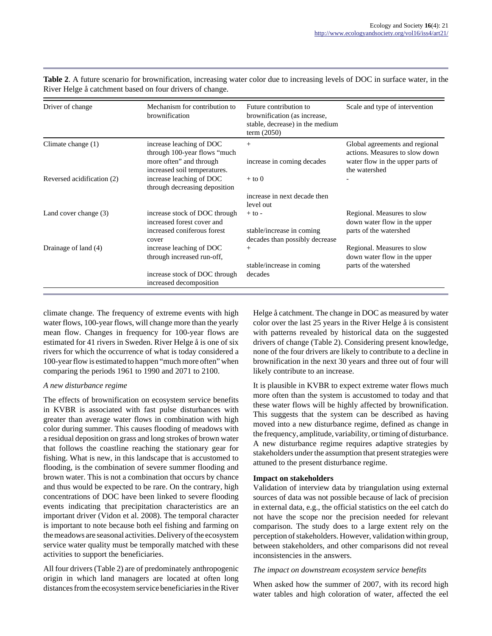| Driver of change           | Mechanism for contribution to<br>brownification                                                                      | Future contribution to<br>brownification (as increase,<br>stable, decrease) in the medium<br>term $(2050)$ | Scale and type of intervention                                                                                        |
|----------------------------|----------------------------------------------------------------------------------------------------------------------|------------------------------------------------------------------------------------------------------------|-----------------------------------------------------------------------------------------------------------------------|
| Climate change $(1)$       | increase leaching of DOC<br>through 100-year flows "much"<br>more often" and through<br>increased soil temperatures. | $^{+}$<br>increase in coming decades                                                                       | Global agreements and regional<br>actions. Measures to slow down<br>water flow in the upper parts of<br>the watershed |
| Reversed acidification (2) | increase leaching of DOC<br>through decreasing deposition                                                            | $+$ to $0$<br>increase in next decade then<br>level out                                                    |                                                                                                                       |
| Land cover change (3)      | increase stock of DOC through<br>increased forest cover and<br>increased coniferous forest<br>cover                  | $+$ to -<br>stable/increase in coming<br>decades than possibly decrease                                    | Regional. Measures to slow<br>down water flow in the upper<br>parts of the watershed                                  |
| Drainage of land (4)       | increase leaching of DOC<br>through increased run-off,<br>increase stock of DOC through<br>increased decomposition   | $^{+}$<br>stable/increase in coming<br>decades                                                             | Regional. Measures to slow<br>down water flow in the upper<br>parts of the watershed                                  |

**Table 2**. A future scenario for brownification, increasing water color due to increasing levels of DOC in surface water, in the River Helge å catchment based on four drivers of change.

climate change. The frequency of extreme events with high water flows, 100-year flows, will change more than the yearly mean flow. Changes in frequency for 100-year flows are estimated for 41 rivers in Sweden. River Helge å is one of six rivers for which the occurrence of what is today considered a 100-year flow is estimated to happen "much more often" when comparing the periods 1961 to 1990 and 2071 to 2100.

# *A new disturbance regime*

The effects of brownification on ecosystem service benefits in KVBR is associated with fast pulse disturbances with greater than average water flows in combination with high color during summer. This causes flooding of meadows with a residual deposition on grass and long strokes of brown water that follows the coastline reaching the stationary gear for fishing. What is new, in this landscape that is accustomed to flooding, is the combination of severe summer flooding and brown water. This is not a combination that occurs by chance and thus would be expected to be rare. On the contrary, high concentrations of DOC have been linked to severe flooding events indicating that precipitation characteristics are an important driver (Vidon et al. 2008). The temporal character is important to note because both eel fishing and farming on the meadows are seasonal activities. Delivery of the ecosystem service water quality must be temporally matched with these activities to support the beneficiaries.

All four drivers (Table 2) are of predominately anthropogenic origin in which land managers are located at often long distances from the ecosystem service beneficiaries in the River Helge å catchment. The change in DOC as measured by water color over the last 25 years in the River Helge å is consistent with patterns revealed by historical data on the suggested drivers of change (Table 2). Considering present knowledge, none of the four drivers are likely to contribute to a decline in brownification in the next 30 years and three out of four will likely contribute to an increase.

It is plausible in KVBR to expect extreme water flows much more often than the system is accustomed to today and that these water flows will be highly affected by brownification. This suggests that the system can be described as having moved into a new disturbance regime, defined as change in the frequency, amplitude, variability, or timing of disturbance. A new disturbance regime requires adaptive strategies by stakeholders under the assumption that present strategies were attuned to the present disturbance regime.

# **Impact on stakeholders**

Validation of interview data by triangulation using external sources of data was not possible because of lack of precision in external data, e.g., the official statistics on the eel catch do not have the scope nor the precision needed for relevant comparison. The study does to a large extent rely on the perception of stakeholders. However, validation within group, between stakeholders, and other comparisons did not reveal inconsistencies in the answers.

# *The impact on downstream ecosystem service benefits*

When asked how the summer of 2007, with its record high water tables and high coloration of water, affected the eel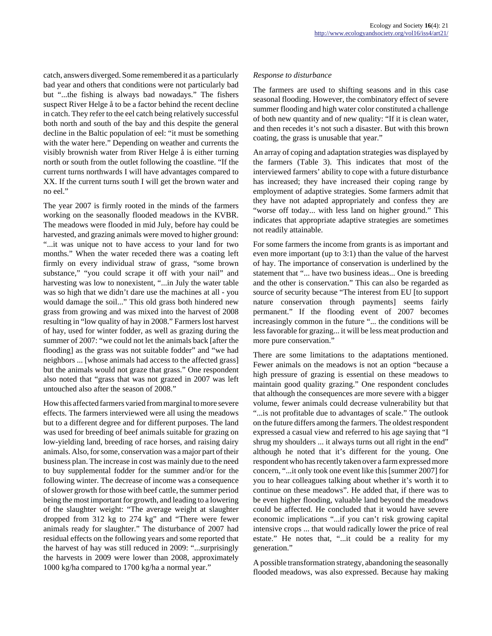catch, answers diverged. Some remembered it as a particularly bad year and others that conditions were not particularly bad but "...the fishing is always bad nowadays." The fishers suspect River Helge å to be a factor behind the recent decline in catch. They refer to the eel catch being relatively successful both north and south of the bay and this despite the general decline in the Baltic population of eel: "it must be something with the water here." Depending on weather and currents the visibly brownish water from River Helge å is either turning north or south from the outlet following the coastline. "If the current turns northwards I will have advantages compared to XX. If the current turns south I will get the brown water and no eel."

The year 2007 is firmly rooted in the minds of the farmers working on the seasonally flooded meadows in the KVBR. The meadows were flooded in mid July, before hay could be harvested, and grazing animals were moved to higher ground: "...it was unique not to have access to your land for two months." When the water receded there was a coating left firmly on every individual straw of grass, "some brown substance," "you could scrape it off with your nail" and harvesting was low to nonexistent, "...in July the water table was so high that we didn't dare use the machines at all - you would damage the soil..." This old grass both hindered new grass from growing and was mixed into the harvest of 2008 resulting in "low quality of hay in 2008." Farmers lost harvest of hay, used for winter fodder, as well as grazing during the summer of 2007: "we could not let the animals back [after the flooding] as the grass was not suitable fodder" and "we had neighbors ... [whose animals had access to the affected grass] but the animals would not graze that grass." One respondent also noted that "grass that was not grazed in 2007 was left untouched also after the season of 2008."

How this affected farmers varied from marginal to more severe effects. The farmers interviewed were all using the meadows but to a different degree and for different purposes. The land was used for breeding of beef animals suitable for grazing on low-yielding land, breeding of race horses, and raising dairy animals. Also, for some, conservation was a major part of their business plan. The increase in cost was mainly due to the need to buy supplemental fodder for the summer and/or for the following winter. The decrease of income was a consequence of slower growth for those with beef cattle, the summer period being the most important for growth, and leading to a lowering of the slaughter weight: "The average weight at slaughter dropped from 312 kg to 274 kg" and "There were fewer animals ready for slaughter." The disturbance of 2007 had residual effects on the following years and some reported that the harvest of hay was still reduced in 2009: "...surprisingly the harvests in 2009 were lower than 2008, approximately 1000 kg/ha compared to 1700 kg/ha a normal year."

#### *Response to disturbance*

The farmers are used to shifting seasons and in this case seasonal flooding. However, the combinatory effect of severe summer flooding and high water color constituted a challenge of both new quantity and of new quality: "If it is clean water, and then recedes it's not such a disaster. But with this brown coating, the grass is unusable that year."

An array of coping and adaptation strategies was displayed by the farmers (Table 3). This indicates that most of the interviewed farmers' ability to cope with a future disturbance has increased; they have increased their coping range by employment of adaptive strategies. Some farmers admit that they have not adapted appropriately and confess they are "worse off today... with less land on higher ground." This indicates that appropriate adaptive strategies are sometimes not readily attainable.

For some farmers the income from grants is as important and even more important (up to 3:1) than the value of the harvest of hay. The importance of conservation is underlined by the statement that "... have two business ideas... One is breeding and the other is conservation." This can also be regarded as source of security because "The interest from EU [to support nature conservation through payments] seems fairly permanent." If the flooding event of 2007 becomes increasingly common in the future "... the conditions will be less favorable for grazing... it will be less meat production and more pure conservation."

There are some limitations to the adaptations mentioned. Fewer animals on the meadows is not an option "because a high pressure of grazing is essential on these meadows to maintain good quality grazing." One respondent concludes that although the consequences are more severe with a bigger volume, fewer animals could decrease vulnerability but that "...is not profitable due to advantages of scale." The outlook on the future differs among the farmers. The oldest respondent expressed a casual view and referred to his age saying that "I shrug my shoulders ... it always turns out all right in the end" although he noted that it's different for the young. One respondent who has recently taken over a farm expressed more concern, "...it only took one event like this [summer 2007] for you to hear colleagues talking about whether it's worth it to continue on these meadows". He added that, if there was to be even higher flooding, valuable land beyond the meadows could be affected. He concluded that it would have severe economic implications "...if you can't risk growing capital intensive crops ... that would radically lower the price of real estate." He notes that, "...it could be a reality for my generation."

A possible transformation strategy, abandoning the seasonally flooded meadows, was also expressed. Because hay making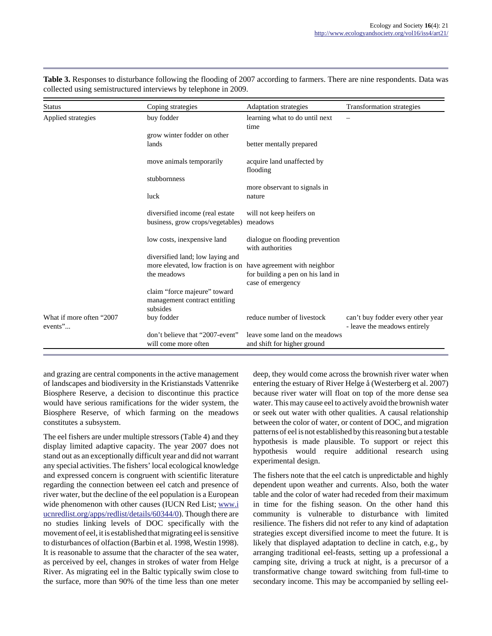| <b>Status</b>                       | Coping strategies                                                                                                 | <b>Adaptation</b> strategies                                  | Transformation strategies                                         |
|-------------------------------------|-------------------------------------------------------------------------------------------------------------------|---------------------------------------------------------------|-------------------------------------------------------------------|
| Applied strategies                  | buy fodder                                                                                                        | learning what to do until next<br>time                        |                                                                   |
|                                     | grow winter fodder on other<br>lands                                                                              | better mentally prepared                                      |                                                                   |
|                                     | move animals temporarily                                                                                          | acquire land unaffected by<br>flooding                        |                                                                   |
|                                     | stubbornness                                                                                                      |                                                               |                                                                   |
|                                     | luck                                                                                                              | more observant to signals in<br>nature                        |                                                                   |
|                                     | diversified income (real estate)<br>business, grow crops/vegetables)                                              | will not keep heifers on<br>meadows                           |                                                                   |
|                                     | low costs, inexpensive land                                                                                       | dialogue on flooding prevention<br>with authorities           |                                                                   |
|                                     | diversified land; low laying and<br>more elevated, low fraction is on have agreement with neighbor<br>the meadows | for building a pen on his land in<br>case of emergency        |                                                                   |
|                                     | claim "force majeure" toward<br>management contract entitling<br>subsides                                         |                                                               |                                                                   |
| What if more often "2007<br>events" | buy fodder                                                                                                        | reduce number of livestock                                    | can't buy fodder every other year<br>- leave the meadows entirely |
|                                     | don't believe that "2007-event"<br>will come more often                                                           | leave some land on the meadows<br>and shift for higher ground |                                                                   |

**Table 3.** Responses to disturbance following the flooding of 2007 according to farmers. There are nine respondents. Data was collected using semistructured interviews by telephone in 2009.

and grazing are central components in the active management of landscapes and biodiversity in the Kristianstads Vattenrike Biosphere Reserve, a decision to discontinue this practice would have serious ramifications for the wider system, the Biosphere Reserve, of which farming on the meadows constitutes a subsystem.

The eel fishers are under multiple stressors (Table 4) and they display limited adaptive capacity. The year 2007 does not stand out as an exceptionally difficult year and did not warrant any special activities. The fishers' local ecological knowledge and expressed concern is congruent with scientific literature regarding the connection between eel catch and presence of river water, but the decline of the eel population is a European wide phenomenon with other causes (IUCN Red List; [www.i](http://www.iucnredlist.org/apps/redlist/details/60344/0) [ucnredlist.org/apps/redlist/details/60344/0\)](http://www.iucnredlist.org/apps/redlist/details/60344/0). Though there are no studies linking levels of DOC specifically with the movement of eel, it is established that migrating eel is sensitive to disturbances of olfaction (Barbin et al. 1998, Westin 1998). It is reasonable to assume that the character of the sea water, as perceived by eel, changes in strokes of water from Helge River. As migrating eel in the Baltic typically swim close to the surface, more than 90% of the time less than one meter deep, they would come across the brownish river water when entering the estuary of River Helge å (Westerberg et al. 2007) because river water will float on top of the more dense sea water. This may cause eel to actively avoid the brownish water or seek out water with other qualities. A causal relationship between the color of water, or content of DOC, and migration patterns of eel is not established by this reasoning but a testable hypothesis is made plausible. To support or reject this hypothesis would require additional research using experimental design.

The fishers note that the eel catch is unpredictable and highly dependent upon weather and currents. Also, both the water table and the color of water had receded from their maximum in time for the fishing season. On the other hand this community is vulnerable to disturbance with limited resilience. The fishers did not refer to any kind of adaptation strategies except diversified income to meet the future. It is likely that displayed adaptation to decline in catch, e.g., by arranging traditional eel-feasts, setting up a professional a camping site, driving a truck at night, is a precursor of a transformative change toward switching from full-time to secondary income. This may be accompanied by selling eel-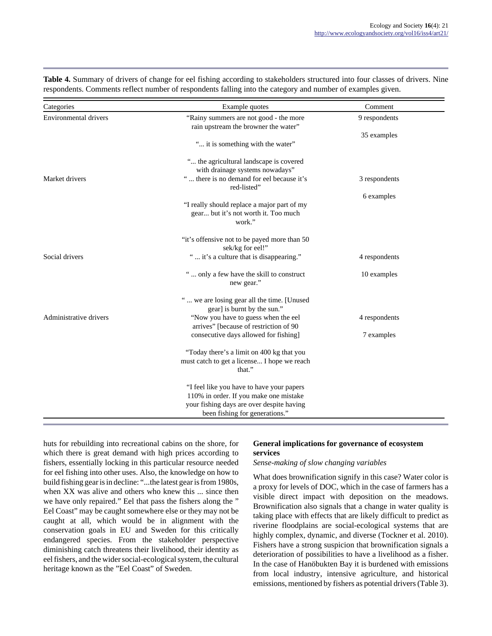| Categories                   | Example quotes                                                                                                                                                     | Comment       |  |
|------------------------------|--------------------------------------------------------------------------------------------------------------------------------------------------------------------|---------------|--|
| <b>Environmental drivers</b> | "Rainy summers are not good - the more<br>rain upstream the browner the water"                                                                                     | 9 respondents |  |
|                              |                                                                                                                                                                    | 35 examples   |  |
|                              | " it is something with the water"                                                                                                                                  |               |  |
|                              | " the agricultural landscape is covered                                                                                                                            |               |  |
|                              | with drainage systems nowadays"                                                                                                                                    |               |  |
| Market drivers               | " there is no demand for eel because it's<br>red-listed"                                                                                                           | 3 respondents |  |
|                              |                                                                                                                                                                    | 6 examples    |  |
|                              | "I really should replace a major part of my<br>gear but it's not worth it. Too much<br>work."                                                                      |               |  |
|                              | "it's offensive not to be payed more than 50<br>sek/kg for eel!"                                                                                                   |               |  |
| Social drivers               | "  it's a culture that is disappearing."                                                                                                                           | 4 respondents |  |
|                              | " only a few have the skill to construct<br>new gear."                                                                                                             | 10 examples   |  |
|                              | " we are losing gear all the time. [Unused<br>gear] is burnt by the sun."                                                                                          |               |  |
| Administrative drivers       | "Now you have to guess when the eel<br>arrives" [because of restriction of 90                                                                                      | 4 respondents |  |
|                              | consecutive days allowed for fishing]                                                                                                                              | 7 examples    |  |
|                              | "Today there's a limit on 400 kg that you                                                                                                                          |               |  |
|                              | must catch to get a license I hope we reach<br>that."                                                                                                              |               |  |
|                              | "I feel like you have to have your papers<br>110% in order. If you make one mistake<br>your fishing days are over despite having<br>been fishing for generations." |               |  |

**Table 4.** Summary of drivers of change for eel fishing according to stakeholders structured into four classes of drivers. Nine respondents. Comments reflect number of respondents falling into the category and number of examples given.

huts for rebuilding into recreational cabins on the shore, for which there is great demand with high prices according to fishers, essentially locking in this particular resource needed for eel fishing into other uses. Also, the knowledge on how to build fishing gear is in decline: "...the latest gear is from 1980s, when XX was alive and others who knew this ... since then we have only repaired." Eel that pass the fishers along the " Eel Coast" may be caught somewhere else or they may not be caught at all, which would be in alignment with the conservation goals in EU and Sweden for this critically endangered species. From the stakeholder perspective diminishing catch threatens their livelihood, their identity as eel fishers, and the wider social-ecological system, the cultural heritage known as the "Eel Coast" of Sweden.

# **General implications for governance of ecosystem services**

# *Sense-making of slow changing variables*

What does brownification signify in this case? Water color is a proxy for levels of DOC, which in the case of farmers has a visible direct impact with deposition on the meadows. Brownification also signals that a change in water quality is taking place with effects that are likely difficult to predict as riverine floodplains are social-ecological systems that are highly complex, dynamic, and diverse (Tockner et al. 2010). Fishers have a strong suspicion that brownification signals a deterioration of possibilities to have a livelihood as a fisher. In the case of Hanöbukten Bay it is burdened with emissions from local industry, intensive agriculture, and historical emissions, mentioned by fishers as potential drivers (Table 3).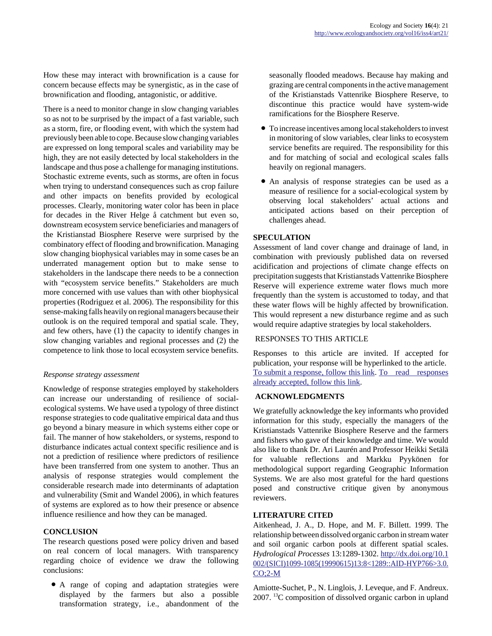How these may interact with brownification is a cause for concern because effects may be synergistic, as in the case of brownification and flooding, antagonistic, or additive.

There is a need to monitor change in slow changing variables so as not to be surprised by the impact of a fast variable, such as a storm, fire, or flooding event, with which the system had previously been able to cope. Because slow changing variables are expressed on long temporal scales and variability may be high, they are not easily detected by local stakeholders in the landscape and thus pose a challenge for managing institutions. Stochastic extreme events, such as storms, are often in focus when trying to understand consequences such as crop failure and other impacts on benefits provided by ecological processes. Clearly, monitoring water color has been in place for decades in the River Helge å catchment but even so, downstream ecosystem service beneficiaries and managers of the Kristianstad Biosphere Reserve were surprised by the combinatory effect of flooding and brownification. Managing slow changing biophysical variables may in some cases be an underrated management option but to make sense to stakeholders in the landscape there needs to be a connection with "ecosystem service benefits." Stakeholders are much more concerned with use values than with other biophysical properties (Rodriguez et al. 2006). The responsibility for this sense-making falls heavily on regional managers because their outlook is on the required temporal and spatial scale. They, and few others, have (1) the capacity to identify changes in slow changing variables and regional processes and (2) the competence to link those to local ecosystem service benefits.

## *Response strategy assessment*

Knowledge of response strategies employed by stakeholders can increase our understanding of resilience of socialecological systems. We have used a typology of three distinct response strategies to code qualitative empirical data and thus go beyond a binary measure in which systems either cope or fail. The manner of how stakeholders, or systems, respond to disturbance indicates actual context specific resilience and is not a prediction of resilience where predictors of resilience have been transferred from one system to another. Thus an analysis of response strategies would complement the considerable research made into determinants of adaptation and vulnerability (Smit and Wandel 2006), in which features of systems are explored as to how their presence or absence influence resilience and how they can be managed.

## **CONCLUSION**

The research questions posed were policy driven and based on real concern of local managers. With transparency regarding choice of evidence we draw the following conclusions:

● A range of coping and adaptation strategies were displayed by the farmers but also a possible transformation strategy, i.e., abandonment of the seasonally flooded meadows. Because hay making and grazing are central components in the active management of the Kristianstads Vattenrike Biosphere Reserve, to discontinue this practice would have system-wide ramifications for the Biosphere Reserve.

- To increase incentives among local stakeholders to invest in monitoring of slow variables, clear links to ecosystem service benefits are required. The responsibility for this and for matching of social and ecological scales falls heavily on regional managers.
- An analysis of response strategies can be used as a measure of resilience for a social-ecological system by observing local stakeholders' actual actions and anticipated actions based on their perception of challenges ahead.

# **SPECULATION**

Assessment of land cover change and drainage of land, in combination with previously published data on reversed acidification and projections of climate change effects on precipitation suggests that Kristianstads Vattenrike Biosphere Reserve will experience extreme water flows much more frequently than the system is accustomed to today, and that these water flows will be highly affected by brownification. This would represent a new disturbance regime and as such would require adaptive strategies by local stakeholders.

## RESPONSES TO THIS ARTICLE

Responses to this article are invited. If accepted for publication, your response will be hyperlinked to the article. [To submit a response, follow this link](http://www.ecologyandsociety.org/responses.php?articleid=4456&mode=add). [To read responses](http://www.ecologyandsociety.org/responses.php?articleid=4456) [already accepted, follow this link](http://www.ecologyandsociety.org/responses.php?articleid=4456).

## **ACKNOWLEDGMENTS**

We gratefully acknowledge the key informants who provided information for this study, especially the managers of the Kristianstads Vattenrike Biosphere Reserve and the farmers and fishers who gave of their knowledge and time. We would also like to thank Dr. Ari Laurén and Professor Heikki Setälä for valuable reflections and Markku Pyykönen for methodological support regarding Geographic Information Systems. We are also most grateful for the hard questions posed and constructive critique given by anonymous reviewers.

## **LITERATURE CITED**

Aitkenhead, J. A., D. Hope, and M. F. Billett. 1999. The relationship between dissolved organic carbon in stream water and soil organic carbon pools at different spatial scales. *Hydrological Processes* 13:1289-1302. [http://dx.doi.org/10.1](http://dx.doi.org/10.1002/(SICI)1099-1085(19990615)13:8<1289::AID-HYP766>3.0.CO;2-M) 002/(SICI)1099-1085(19990615)13:8<1289::AID-HYP766>3.0.  $CO;2-M$ 

Amiotte-Suchet, P., N. Linglois, J. Leveque, and F. Andreux. 2007. 13C composition of dissolved organic carbon in upland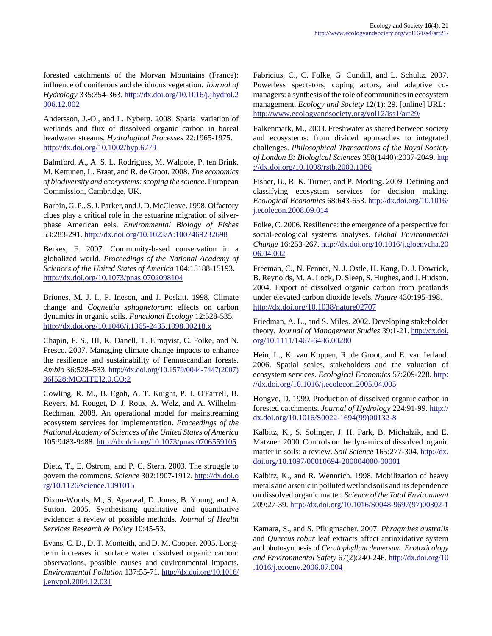forested catchments of the Morvan Mountains (France): influence of coniferous and deciduous vegetation. *Journal of Hydrology* 335:354-363. [http://dx.doi.org/10.1016/j.jhydrol.2](http://dx.doi.org/10.1016/j.jhydrol.2006.12.002) [006.12.002](http://dx.doi.org/10.1016/j.jhydrol.2006.12.002)

Andersson, J.-O., and L. Nyberg. 2008. Spatial variation of wetlands and flux of dissolved organic carbon in boreal headwater streams. *Hydrological Processes* 22:1965-1975. <http://dx.doi.org/10.1002/hyp.6779>

Balmford, A., A. S. L. Rodrigues, M. Walpole, P. ten Brink, M. Kettunen, L. Braat, and R. de Groot. 2008. *The economics of biodiversity and ecosystems: scoping the science.* European Commission, Cambridge, UK.

Barbin, G. P., S. J. Parker, and J. D. McCleave. 1998. Olfactory clues play a critical role in the estuarine migration of silverphase American eels. *Environmental Biology of Fishes* 53:283-291.<http://dx.doi.org/10.1023/A:1007469232698>

Berkes, F. 2007. Community-based conservation in a globalized world. *Proceedings of the National Academy of Sciences of the United States of America* 104:15188-15193. <http://dx.doi.org/10.1073/pnas.0702098104>

Briones, M. J. I., P. Ineson, and J. Poskitt. 1998. Climate change and *Cognettia sphagnetorum*: effects on carbon dynamics in organic soils. *Functional Ecology* 12:528-535. <http://dx.doi.org/10.1046/j.1365-2435.1998.00218.x>

Chapin, F. S., III, K. Danell, T. Elmqvist, C. Folke, and N. Fresco. 2007. Managing climate change impacts to enhance the resilience and sustainability of Fennoscandian forests. *Ambio* 36:528–533. [http://dx.doi.org/10.1579/0044-7447\(2007\)](http://dx.doi.org/10.1579/0044-7447(2007)36[528:MCCITE]2.0.CO;2) [36\[528:MCCITE\]2.0.CO;2](http://dx.doi.org/10.1579/0044-7447(2007)36[528:MCCITE]2.0.CO;2)

Cowling, R. M., B. Egoh, A. T. Knight, P. J. O'Farrell, B. Reyers, M. Rouget, D. J. Roux, A. Welz, and A. Wilhelm-Rechman. 2008. An operational model for mainstreaming ecosystem services for implementation. *Proceedings of the National Academy of Sciences of the United States of America* 105:9483-9488.<http://dx.doi.org/10.1073/pnas.0706559105>

Dietz, T., E. Ostrom, and P. C. Stern. 2003. The struggle to govern the commons. *Science* 302:1907-1912. [http://dx.doi.o](http://dx.doi.org/10.1126/science.1091015) [rg/10.1126/science.1091015](http://dx.doi.org/10.1126/science.1091015)

Dixon-Woods, M., S. Agarwal, D. Jones, B. Young, and A. Sutton. 2005. Synthesising qualitative and quantitative evidence: a review of possible methods. *Journal of Health Services Research & Policy* 10:45-53.

Evans, C. D., D. T. Monteith, and D. M. Cooper. 2005. Longterm increases in surface water dissolved organic carbon: observations, possible causes and environmental impacts. *Environmental Pollution* 137:55-71. [http://dx.doi.org/10.1016/](http://dx.doi.org/10.1016/j.envpol.2004.12.031) [j.envpol.2004.12.031](http://dx.doi.org/10.1016/j.envpol.2004.12.031)

Fabricius, C., C. Folke, G. Cundill, and L. Schultz. 2007. Powerless spectators, coping actors, and adaptive comanagers: a synthesis of the role of communities in ecosystem management. *Ecology and Society* 12(1): 29. [online] URL: <http://www.ecologyandsociety.org/vol12/iss1/art29/>

Falkenmark, M., 2003. Freshwater as shared between society and ecosystems: from divided approaches to integrated challenges. *Philosophical Transactions of the Royal Society of London B: Biological Sciences* 358(1440):2037-2049. [http](http://dx.doi.org/10.1098/rstb.2003.1386) [://dx.doi.org/10.1098/rstb.2003.1386](http://dx.doi.org/10.1098/rstb.2003.1386)

Fisher, B., R. K. Turner, and P. Morling. 2009. Defining and classifying ecosystem services for decision making. *Ecological Economics* 68:643-653. [http://dx.doi.org/10.1016/](http://dx.doi.org/10.1016/j.ecolecon.2008.09.014) [j.ecolecon.2008.09.014](http://dx.doi.org/10.1016/j.ecolecon.2008.09.014)

Folke, C. 2006. Resilience: the emergence of a perspective for social-ecological systems analyses. *Global Environmental Change* 16:253-267. [http://dx.doi.org/10.1016/j.gloenvcha.20](http://dx.doi.org/10.1016/j.gloenvcha.2006.04.002) [06.04.002](http://dx.doi.org/10.1016/j.gloenvcha.2006.04.002)

Freeman, C., N. Fenner, N. J. Ostle, H. Kang, D. J. Dowrick, B. Reynolds, M. A. Lock, D. Sleep, S. Hughes, and J. Hudson. 2004. Export of dissolved organic carbon from peatlands under elevated carbon dioxide levels. *Nature* 430:195-198. <http://dx.doi.org/10.1038/nature02707>

Friedman, A. L., and S. Miles. 2002. Developing stakeholder theory. *Journal of Management Studies* 39:1-21. [http://dx.doi.](http://dx.doi.org/10.1111/1467-6486.00280) [org/10.1111/1467-6486.00280](http://dx.doi.org/10.1111/1467-6486.00280)

Hein, L., K. van Koppen, R. de Groot, and E. van Ierland. 2006. Spatial scales, stakeholders and the valuation of ecosystem services. *Ecological Economics* 57:209-228. [http:](http://dx.doi.org/10.1016/j.ecolecon.2005.04.005) [//dx.doi.org/10.1016/j.ecolecon.2005.04.005](http://dx.doi.org/10.1016/j.ecolecon.2005.04.005)

Hongve, D. 1999. Production of dissolved organic carbon in forested catchments. *Journal of Hydrology* 224:91-99. [http://](http://dx.doi.org/10.1016/S0022-1694(99)00132-8) [dx.doi.org/10.1016/S0022-1694\(99\)00132-8](http://dx.doi.org/10.1016/S0022-1694(99)00132-8)

Kalbitz, K., S. Solinger, J. H. Park, B. Michalzik, and E. Matzner. 2000. Controls on the dynamics of dissolved organic matter in soils: a review. *Soil Science* 165:277-304. [http://dx.](http://dx.doi.org/10.1097/00010694-200004000-00001) [doi.org/10.1097/00010694-200004000-00001](http://dx.doi.org/10.1097/00010694-200004000-00001)

Kalbitz, K., and R. Wennrich. 1998. Mobilization of heavy metals and arsenic in polluted wetland soils and its dependence on dissolved organic matter. *Science of the Total Environment* 209:27-39. [http://dx.doi.org/10.1016/S0048-9697\(97\)00302-1](http://dx.doi.org/10.1016/S0048-9697(97)00302-1)

Kamara, S., and S. Pflugmacher. 2007. *Phragmites australis* and *Quercus robur* leaf extracts affect antioxidative system and photosynthesis of *Ceratophyllum demersum*. *Ecotoxicology and Environmental Safety* 67(2):240-246. [http://dx.doi.org/10](http://dx.doi.org/10.1016/j.ecoenv.2006.07.004) [.1016/j.ecoenv.2006.07.004](http://dx.doi.org/10.1016/j.ecoenv.2006.07.004)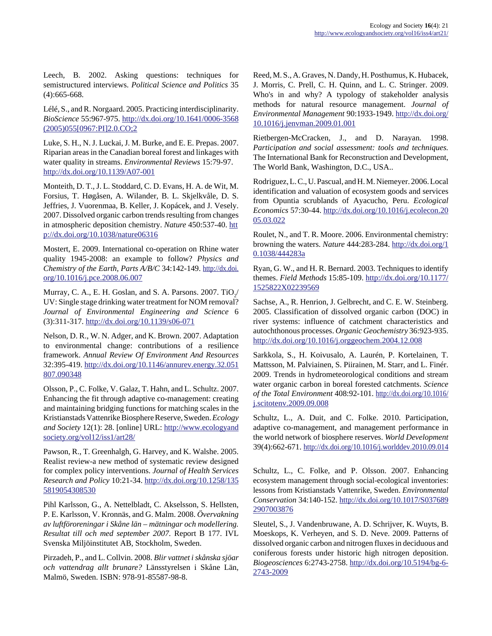Leech, B. 2002. Asking questions: techniques for semistructured interviews. *Political Science and Politics* 35 (4):665-668.

Lélé, S., and R. Norgaard. 2005. Practicing interdisciplinarity. *BioScience* 55:967-975. [http://dx.doi.org/10.1641/0006-3568](http://dx.doi.org/10.1641/0006-3568(2005)055[0967:PI]2.0.CO;2) [\(2005\)055\[0967:PI\]2.0.CO;2](http://dx.doi.org/10.1641/0006-3568(2005)055[0967:PI]2.0.CO;2)

Luke, S. H., N. J. Luckai, J. M. Burke, and E. E. Prepas. 2007. Riparian areas in the Canadian boreal forest and linkages with water quality in streams. *Environmental Reviews* 15:79-97. <http://dx.doi.org/10.1139/A07-001>

Monteith, D. T., J. L. Stoddard, C. D. Evans, H. A. de Wit, M. Forsius, T. Høgåsen, A. Wilander, B. L. Skjelkvåle, D. S. Jeffries, J. Vuorenmaa, B. Keller, J. Kopácek, and J. Vesely. 2007. Dissolved organic carbon trends resulting from changes in atmospheric deposition chemistry. *Nature* 450:537-40. [htt](http://dx.doi.org/10.1038/nature06316) [p://dx.doi.org/10.1038/nature06316](http://dx.doi.org/10.1038/nature06316)

Mostert, E. 2009. International co-operation on Rhine water quality 1945-2008: an example to follow? *Physics and Chemistry of the Earth, Parts A/B/C* 34:142-149. [http://dx.doi.](http://dx.doi.org/10.1016/j.pce.2008.06.007) [org/10.1016/j.pce.2008.06.007](http://dx.doi.org/10.1016/j.pce.2008.06.007)

Murray, C. A., E. H. Goslan, and S. A. Parsons. 2007. Ti $O_2/$ UV: Single stage drinking water treatment for NOM removal? *Journal of Environmental Engineering and Science* 6 (3):311-317. <http://dx.doi.org/10.1139/s06-071>

Nelson, D. R., W. N. Adger, and K. Brown. 2007. Adaptation to environmental change: contributions of a resilience framework. *Annual Review Of Environment And Resources* 32:395-419. [http://dx.doi.org/10.1146/annurev.energy.32.051](http://dx.doi.org/10.1146/annurev.energy.32.051807.090348) [807.090348](http://dx.doi.org/10.1146/annurev.energy.32.051807.090348)

Olsson, P., C. Folke, V. Galaz, T. Hahn, and L. Schultz. 2007. Enhancing the fit through adaptive co-management: creating and maintaining bridging functions for matching scales in the Kristianstads Vattenrike Biosphere Reserve, Sweden. *Ecology and Society* 12(1): 28. [online] URL: [http://www.ecologyand](http://www.ecologyandsociety.org/vol12/iss1/art28/) [society.org/vol12/iss1/art28/](http://www.ecologyandsociety.org/vol12/iss1/art28/)

Pawson, R., T. Greenhalgh, G. Harvey, and K. Walshe. 2005. Realist review-a new method of systematic review designed for complex policy interventions. *Journal of Health Services Research and Policy* 10:21-34. [http://dx.doi.org/10.1258/135](http://dx.doi.org/10.1258/1355819054308530) [5819054308530](http://dx.doi.org/10.1258/1355819054308530)

Pihl Karlsson, G., A. Nettelbladt, C. Akselsson, S. Hellsten, P. E. Karlsson, V. Kronnäs, and G. Malm. 2008. *Övervakning av luftföroreningar i Skåne län – mätningar och modellering. Resultat till och med september 2007.* Report B 177. IVL Svenska Miljöinstitutet AB, Stockholm, Sweden.

Pirzadeh, P., and L. Collvin. 2008. *Blir vattnet i skånska sjöar och vattendrag allt brunare?* Länsstyrelsen i Skåne Län, Malmö, Sweden. ISBN: 978-91-85587-98-8.

Reed, M. S., A. Graves, N. Dandy, H. Posthumus, K. Hubacek, J. Morris, C. Prell, C. H. Quinn, and L. C. Stringer. 2009. Who's in and why? A typology of stakeholder analysis methods for natural resource management. *Journal of Environmental Management* 90:1933-1949. [http://dx.doi.org/](http://dx.doi.org/10.1016/j.jenvman.2009.01.001) [10.1016/j.jenvman.2009.01.001](http://dx.doi.org/10.1016/j.jenvman.2009.01.001)

Rietbergen-McCracken, J., and D. Narayan. 1998. *Participation and social assessment: tools and techniques.* The International Bank for Reconstruction and Development, The World Bank, Washington, D.C., USA..

Rodriguez, L. C., U. Pascual, and H. M. Niemeyer. 2006. Local identification and valuation of ecosystem goods and services from Opuntia scrublands of Ayacucho, Peru. *Ecological Economics* 57:30-44. [http://dx.doi.org/10.1016/j.ecolecon.20](http://dx.doi.org/10.1016/j.ecolecon.2005.03.022) [05.03.022](http://dx.doi.org/10.1016/j.ecolecon.2005.03.022)

Roulet, N., and T. R. Moore. 2006. Environmental chemistry: browning the waters. *Nature* 444:283-284. [http://dx.doi.org/1](http://dx.doi.org/10.1038/444283a) [0.1038/444283a](http://dx.doi.org/10.1038/444283a) 

Ryan, G. W., and H. R. Bernard. 2003. Techniques to identify themes. *Field Methods* 15:85-109. [http://dx.doi.org/10.1177/](http://dx.doi.org/10.1177/1525822X02239569) [1525822X02239569](http://dx.doi.org/10.1177/1525822X02239569)

Sachse, A., R. Henrion, J. Gelbrecht, and C. E. W. Steinberg. 2005. Classification of dissolved organic carbon (DOC) in river systems: influence of catchment characteristics and autochthonous processes. *Organic Geochemistry* 36:923-935. <http://dx.doi.org/10.1016/j.orggeochem.2004.12.008>

Sarkkola, S., H. Koivusalo, A. Laurén, P. Kortelainen, T. Mattsson, M. Palviainen, S. Piirainen, M. Starr, and L. Finér. 2009. Trends in hydrometeorological conditions and stream water organic carbon in boreal forested catchments. *Science of the Total Environment* 408:92-101. [http://dx.doi.org/10.1016/](http://dx.doi.org/10.1016/j.scitotenv.2009.09.008) [j.scitotenv.2009.09.008](http://dx.doi.org/10.1016/j.scitotenv.2009.09.008) 

Schultz, L., A. Duit, and C. Folke. 2010. Participation, adaptive co-management, and management performance in the world network of biosphere reserves. *World Development* 39(4):662-671. <http://dx.doi.org/10.1016/j.worlddev.2010.09.014>

Schultz, L., C. Folke, and P. Olsson. 2007. Enhancing ecosystem management through social-ecological inventories: lessons from Kristianstads Vattenrike, Sweden. *Environmental Conservation* 34:140-152. [http://dx.doi.org/10.1017/S037689](http://dx.doi.org/10.1017/S0376892907003876) [2907003876](http://dx.doi.org/10.1017/S0376892907003876)

Sleutel, S., J. Vandenbruwane, A. D. Schrijver, K. Wuyts, B. Moeskops, K. Verheyen, and S. D. Neve. 2009. Patterns of dissolved organic carbon and nitrogen fluxes in deciduous and coniferous forests under historic high nitrogen deposition. *Biogeosciences* 6:2743-2758. [http://dx.doi.org/10.5194/bg-6-](http://dx.doi.org/10.5194/bg-6-2743-2009) [2743-2009](http://dx.doi.org/10.5194/bg-6-2743-2009)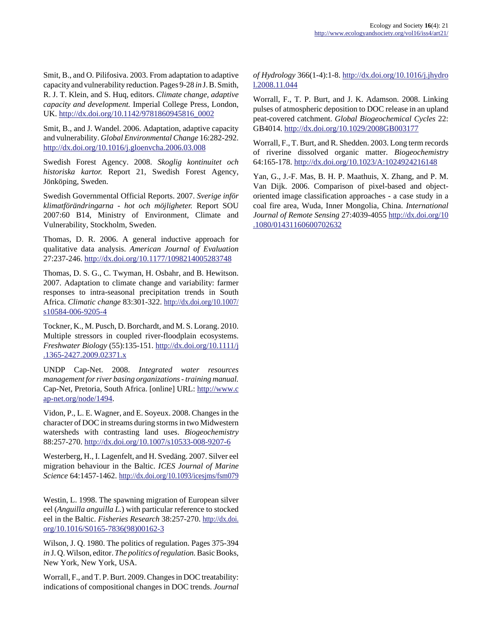Smit, B., and O. Pilifosiva. 2003. From adaptation to adaptive capacity and vulnerability reduction. Pages 9-28 *in* J. B. Smith, R. J. T. Klein, and S. Huq, editors. *Climate change, adaptive capacity and development.* Imperial College Press, London, UK. [http://dx.doi.org/10.1142/9781860945816\\_0002](http://dx.doi.org/10.1142/9781860945816_0002)

Smit, B., and J. Wandel. 2006. Adaptation, adaptive capacity and vulnerability. *Global Environmental Change* 16:282-292. <http://dx.doi.org/10.1016/j.gloenvcha.2006.03.008>

Swedish Forest Agency. 2008. *Skoglig kontinuitet och historiska kartor.* Report 21, Swedish Forest Agency, Jönköping, Sweden.

Swedish Governmental Official Reports. 2007. *Sverige inför klimatförändringarna - hot och möjligheter.* Report SOU 2007:60 B14, Ministry of Environment, Climate and Vulnerability, Stockholm, Sweden.

Thomas, D. R. 2006. A general inductive approach for qualitative data analysis. *American Journal of Evaluation* 27:237-246.<http://dx.doi.org/10.1177/1098214005283748>

Thomas, D. S. G., C. Twyman, H. Osbahr, and B. Hewitson. 2007. Adaptation to climate change and variability: farmer responses to intra-seasonal precipitation trends in South Africa. *Climatic change* 83:301-322. [http://dx.doi.org/10.1007/](http://dx.doi.org/10.1007/s10584-006-9205-4) [s10584-006-9205-4](http://dx.doi.org/10.1007/s10584-006-9205-4) 

Tockner, K., M. Pusch, D. Borchardt, and M. S. Lorang. 2010. Multiple stressors in coupled river-floodplain ecosystems. *Freshwater Biology* (55):135-151. [http://dx.doi.org/10.1111/j](http://dx.doi.org/10.1111/j.1365-2427.2009.02371.x) [.1365-2427.2009.02371.x](http://dx.doi.org/10.1111/j.1365-2427.2009.02371.x)

UNDP Cap-Net. 2008. *Integrated water resources management for river basing organizations - training manual.* Cap-Net, Pretoria, South Africa. [online] URL: [http://www.c](http://www.cap-net.org/node/1494) [ap-net.org/node/1494.](http://www.cap-net.org/node/1494)

Vidon, P., L. E. Wagner, and E. Soyeux. 2008. Changes in the character of DOC in streams during storms in two Midwestern watersheds with contrasting land uses. *Biogeochemistry* 88:257-270.<http://dx.doi.org/10.1007/s10533-008-9207-6>

Westerberg, H., I. Lagenfelt, and H. Svedäng. 2007. Silver eel migration behaviour in the Baltic. *ICES Journal of Marine Science* 64:1457-1462.<http://dx.doi.org/10.1093/icesjms/fsm079>

Westin, L. 1998. The spawning migration of European silver eel (*Anguilla anguilla L.*) with particular reference to stocked eel in the Baltic. *Fisheries Research* 38:257-270. [http://dx.doi.](http://dx.doi.org/10.1016/S0165-7836(98)00162-3) [org/10.1016/S0165-7836\(98\)00162-3](http://dx.doi.org/10.1016/S0165-7836(98)00162-3)

Wilson, J. Q. 1980. The politics of regulation. Pages 375-394 *in* J. Q. Wilson, editor. *The politics of regulation.* Basic Books, New York, New York, USA.

Worrall, F., and T. P. Burt. 2009. Changes in DOC treatability: indications of compositional changes in DOC trends. *Journal* *of Hydrology* 366(1-4):1-8. [http://dx.doi.org/10.1016/j.jhydro](http://dx.doi.org/10.1016/j.jhydrol.2008.11.044) [l.2008.11.044](http://dx.doi.org/10.1016/j.jhydrol.2008.11.044)

Worrall, F., T. P. Burt, and J. K. Adamson. 2008. Linking pulses of atmospheric deposition to DOC release in an upland peat-covered catchment. *Global Biogeochemical Cycles* 22: GB4014. <http://dx.doi.org/10.1029/2008GB003177>

Worrall, F., T. Burt, and R. Shedden. 2003. Long term records of riverine dissolved organic matter. *Biogeochemistry* 64:165-178.<http://dx.doi.org/10.1023/A:1024924216148>

Yan, G., J.-F. Mas, B. H. P. Maathuis, X. Zhang, and P. M. Van Dijk. 2006. Comparison of pixel-based and objectoriented image classification approaches - a case study in a coal fire area, Wuda, Inner Mongolia, China. *International Journal of Remote Sensing* 27:4039-4055 [http://dx.doi.org/10](http://dx.doi.org/10.1080/01431160600702632) [.1080/01431160600702632](http://dx.doi.org/10.1080/01431160600702632)